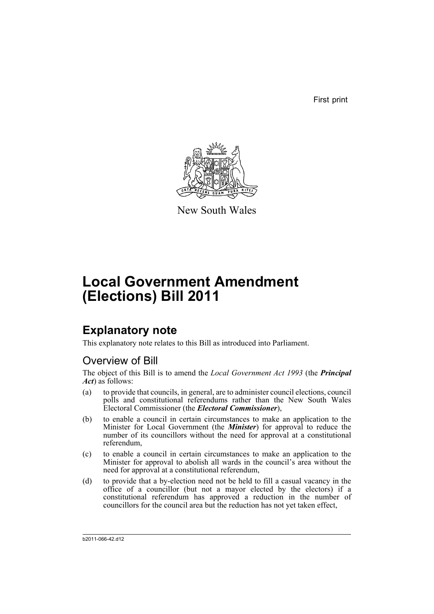First print



New South Wales

# **Local Government Amendment (Elections) Bill 2011**

## **Explanatory note**

This explanatory note relates to this Bill as introduced into Parliament.

### Overview of Bill

The object of this Bill is to amend the *Local Government Act 1993* (the *Principal Act*) as follows:

- (a) to provide that councils, in general, are to administer council elections, council polls and constitutional referendums rather than the New South Wales Electoral Commissioner (the *Electoral Commissioner*),
- (b) to enable a council in certain circumstances to make an application to the Minister for Local Government (the *Minister*) for approval to reduce the number of its councillors without the need for approval at a constitutional referendum,
- (c) to enable a council in certain circumstances to make an application to the Minister for approval to abolish all wards in the council's area without the need for approval at a constitutional referendum,
- (d) to provide that a by-election need not be held to fill a casual vacancy in the office of a councillor (but not a mayor elected by the electors) if a constitutional referendum has approved a reduction in the number of councillors for the council area but the reduction has not yet taken effect,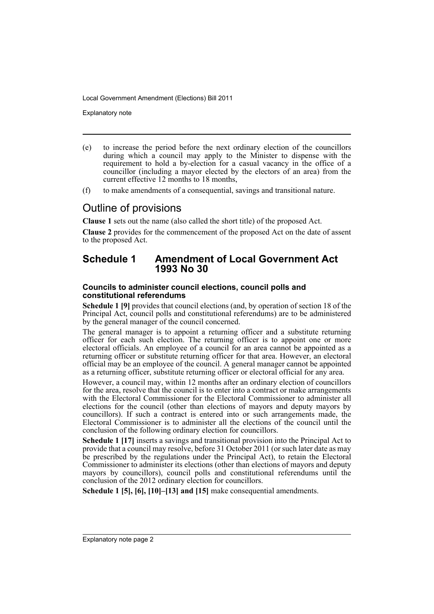Explanatory note

- (e) to increase the period before the next ordinary election of the councillors during which a council may apply to the Minister to dispense with the requirement to hold a by-election for a casual vacancy in the office of a councillor (including a mayor elected by the electors of an area) from the current effective 12 months to 18 months,
- (f) to make amendments of a consequential, savings and transitional nature.

### Outline of provisions

**Clause 1** sets out the name (also called the short title) of the proposed Act.

**Clause 2** provides for the commencement of the proposed Act on the date of assent to the proposed Act.

### **Schedule 1 Amendment of Local Government Act 1993 No 30**

### **Councils to administer council elections, council polls and constitutional referendums**

**Schedule 1 [9]** provides that council elections (and, by operation of section 18 of the Principal Act, council polls and constitutional referendums) are to be administered by the general manager of the council concerned.

The general manager is to appoint a returning officer and a substitute returning officer for each such election. The returning officer is to appoint one or more electoral officials. An employee of a council for an area cannot be appointed as a returning officer or substitute returning officer for that area. However, an electoral official may be an employee of the council. A general manager cannot be appointed as a returning officer, substitute returning officer or electoral official for any area.

However, a council may, within 12 months after an ordinary election of councillors for the area, resolve that the council is to enter into a contract or make arrangements with the Electoral Commissioner for the Electoral Commissioner to administer all elections for the council (other than elections of mayors and deputy mayors by councillors). If such a contract is entered into or such arrangements made, the Electoral Commissioner is to administer all the elections of the council until the conclusion of the following ordinary election for councillors.

**Schedule 1 [17]** inserts a savings and transitional provision into the Principal Act to provide that a council may resolve, before 31 October 2011 (or such later date as may be prescribed by the regulations under the Principal Act), to retain the Electoral Commissioner to administer its elections (other than elections of mayors and deputy mayors by councillors), council polls and constitutional referendums until the conclusion of the 2012 ordinary election for councillors.

**Schedule 1 [5], [6], [10]–[13] and [15]** make consequential amendments.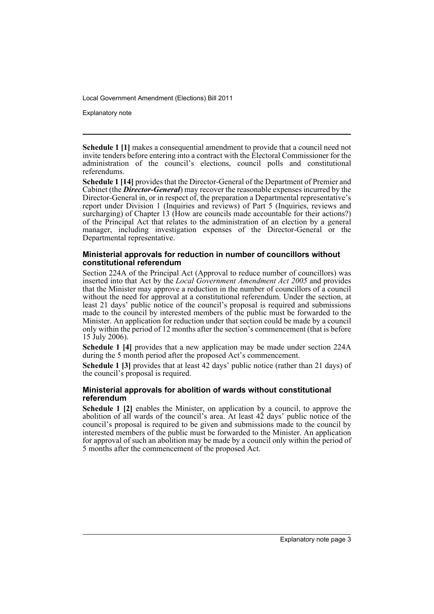Explanatory note

**Schedule 1** [1] makes a consequential amendment to provide that a council need not invite tenders before entering into a contract with the Electoral Commissioner for the administration of the council's elections, council polls and constitutional referendums.

**Schedule 1 [14]** provides that the Director-General of the Department of Premier and Cabinet (the *Director-General*) may recover the reasonable expenses incurred by the Director-General in, or in respect of, the preparation a Departmental representative's report under Division 1 (Inquiries and reviews) of Part 5 (Inquiries, reviews and surcharging) of Chapter 13 (How are councils made accountable for their actions?) of the Principal Act that relates to the administration of an election by a general manager, including investigation expenses of the Director-General or the Departmental representative.

### **Ministerial approvals for reduction in number of councillors without constitutional referendum**

Section 224A of the Principal Act (Approval to reduce number of councillors) was inserted into that Act by the *Local Government Amendment Act 2005* and provides that the Minister may approve a reduction in the number of councillors of a council without the need for approval at a constitutional referendum. Under the section, at least 21 days' public notice of the council's proposal is required and submissions made to the council by interested members of the public must be forwarded to the Minister. An application for reduction under that section could be made by a council only within the period of 12 months after the section's commencement (that is before 15 July 2006).

**Schedule 1 [4]** provides that a new application may be made under section 224A during the 5 month period after the proposed Act's commencement.

**Schedule 1 [3]** provides that at least 42 days' public notice (rather than 21 days) of the council's proposal is required.

### **Ministerial approvals for abolition of wards without constitutional referendum**

**Schedule 1 [2]** enables the Minister, on application by a council, to approve the abolition of all wards of the council's area. At least 42 days' public notice of the council's proposal is required to be given and submissions made to the council by interested members of the public must be forwarded to the Minister. An application for approval of such an abolition may be made by a council only within the period of 5 months after the commencement of the proposed Act.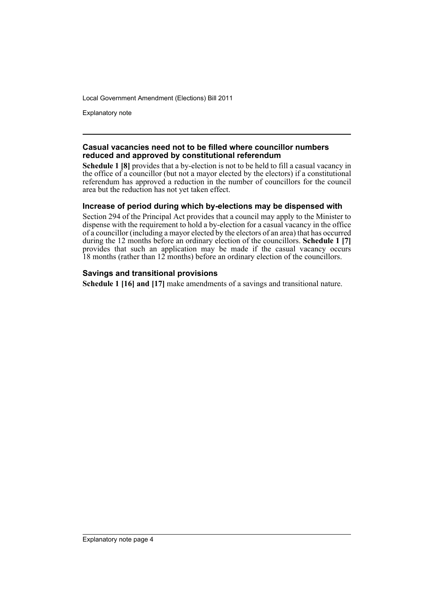Explanatory note

### **Casual vacancies need not to be filled where councillor numbers reduced and approved by constitutional referendum**

**Schedule 1 [8]** provides that a by-election is not to be held to fill a casual vacancy in the office of a councillor (but not a mayor elected by the electors) if a constitutional referendum has approved a reduction in the number of councillors for the council area but the reduction has not yet taken effect.

### **Increase of period during which by-elections may be dispensed with**

Section 294 of the Principal Act provides that a council may apply to the Minister to dispense with the requirement to hold a by-election for a casual vacancy in the office of a councillor (including a mayor elected by the electors of an area) that has occurred during the 12 months before an ordinary election of the councillors. **Schedule 1 [7]** provides that such an application may be made if the casual vacancy occurs 18 months (rather than 12 months) before an ordinary election of the councillors.

### **Savings and transitional provisions**

**Schedule 1 [16] and [17]** make amendments of a savings and transitional nature.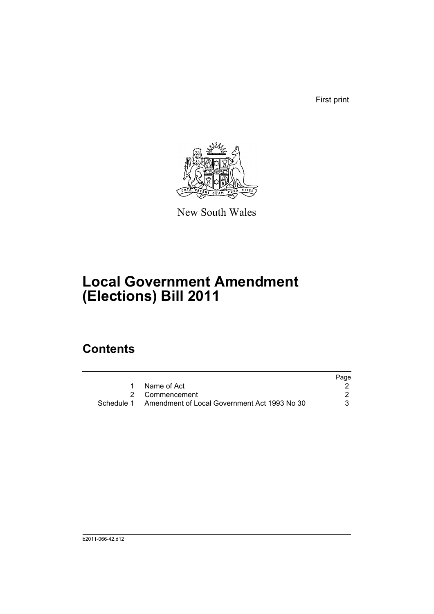First print



New South Wales

## **Local Government Amendment (Elections) Bill 2011**

### **Contents**

|                                                         | Page |
|---------------------------------------------------------|------|
| Name of Act                                             |      |
| 2 Commencement                                          |      |
| Schedule 1 Amendment of Local Government Act 1993 No 30 | 3    |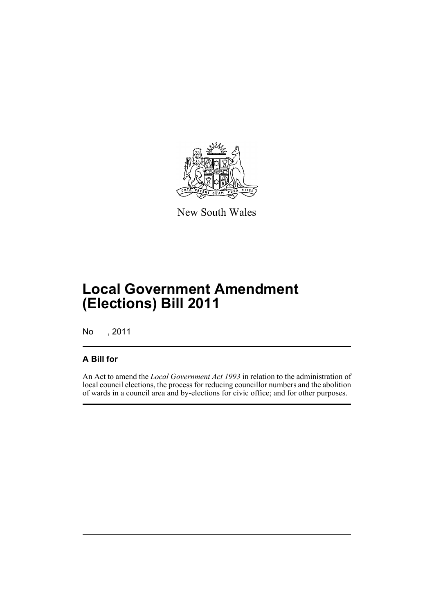

New South Wales

## **Local Government Amendment (Elections) Bill 2011**

No , 2011

### **A Bill for**

An Act to amend the *Local Government Act 1993* in relation to the administration of local council elections, the process for reducing councillor numbers and the abolition of wards in a council area and by-elections for civic office; and for other purposes.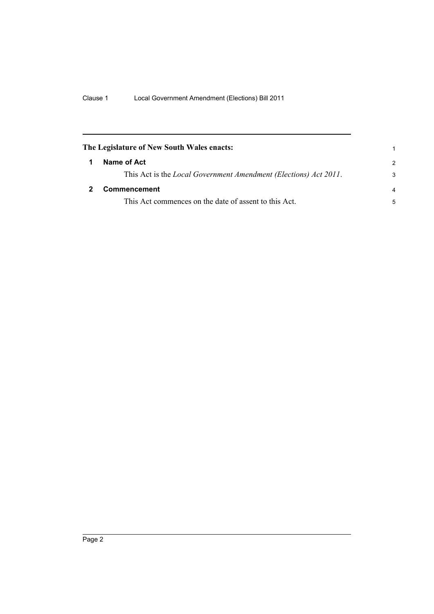<span id="page-7-1"></span><span id="page-7-0"></span>

| The Legislature of New South Wales enacts: |                                                                          |                |
|--------------------------------------------|--------------------------------------------------------------------------|----------------|
|                                            | Name of Act                                                              | $\mathcal{P}$  |
|                                            | This Act is the <i>Local Government Amendment (Elections) Act 2011</i> . | 3              |
|                                            | Commencement                                                             | $\overline{a}$ |
|                                            | This Act commences on the date of assent to this Act.                    | 5              |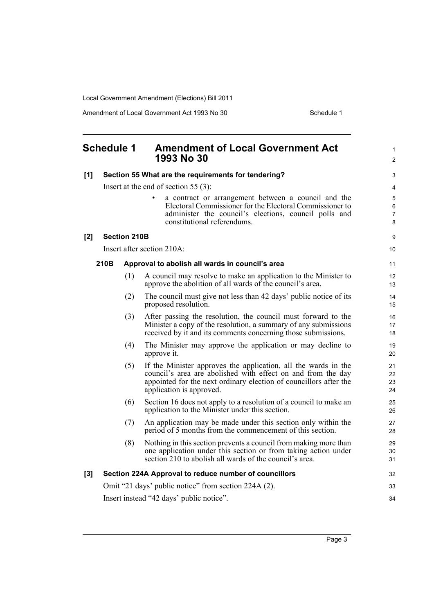Amendment of Local Government Act 1993 No 30 Schedule 1

<span id="page-8-0"></span>

|     | <b>Schedule 1</b> |                     | <b>Amendment of Local Government Act</b><br>1993 No 30                                                                                                                                                                          | 1<br>$\overline{2}$  |
|-----|-------------------|---------------------|---------------------------------------------------------------------------------------------------------------------------------------------------------------------------------------------------------------------------------|----------------------|
| [1] |                   |                     | Section 55 What are the requirements for tendering?                                                                                                                                                                             | 3                    |
|     |                   |                     | Insert at the end of section 55 $(3)$ :                                                                                                                                                                                         | 4                    |
|     |                   |                     | a contract or arrangement between a council and the<br>$\bullet$<br>Electoral Commissioner for the Electoral Commissioner to<br>administer the council's elections, council polls and<br>constitutional referendums.            | 5<br>6<br>7<br>8     |
| [2] |                   | <b>Section 210B</b> |                                                                                                                                                                                                                                 | 9                    |
|     |                   |                     | Insert after section 210A:                                                                                                                                                                                                      | 10                   |
|     | 210B              |                     | Approval to abolish all wards in council's area                                                                                                                                                                                 | 11                   |
|     |                   | (1)                 | A council may resolve to make an application to the Minister to<br>approve the abolition of all wards of the council's area.                                                                                                    | 12<br>13             |
|     |                   | (2)                 | The council must give not less than 42 days' public notice of its<br>proposed resolution.                                                                                                                                       | 14<br>15             |
|     |                   | (3)                 | After passing the resolution, the council must forward to the<br>Minister a copy of the resolution, a summary of any submissions<br>received by it and its comments concerning those submissions.                               | 16<br>17<br>18       |
|     |                   | (4)                 | The Minister may approve the application or may decline to<br>approve it.                                                                                                                                                       | 19<br>20             |
|     |                   | (5)                 | If the Minister approves the application, all the wards in the<br>council's area are abolished with effect on and from the day<br>appointed for the next ordinary election of councillors after the<br>application is approved. | 21<br>22<br>23<br>24 |
|     |                   | (6)                 | Section 16 does not apply to a resolution of a council to make an<br>application to the Minister under this section.                                                                                                            | 25<br>26             |
|     |                   | (7)                 | An application may be made under this section only within the<br>period of 5 months from the commencement of this section.                                                                                                      | 27<br>28             |
|     |                   | (8)                 | Nothing in this section prevents a council from making more than<br>one application under this section or from taking action under<br>section 210 to abolish all wards of the council's area.                                   | 29<br>30<br>31       |
| [3] |                   |                     | Section 224A Approval to reduce number of councillors                                                                                                                                                                           | 32                   |
|     |                   |                     | Omit "21 days' public notice" from section 224A (2).                                                                                                                                                                            | 33                   |
|     |                   |                     | Insert instead "42 days' public notice".                                                                                                                                                                                        | 34                   |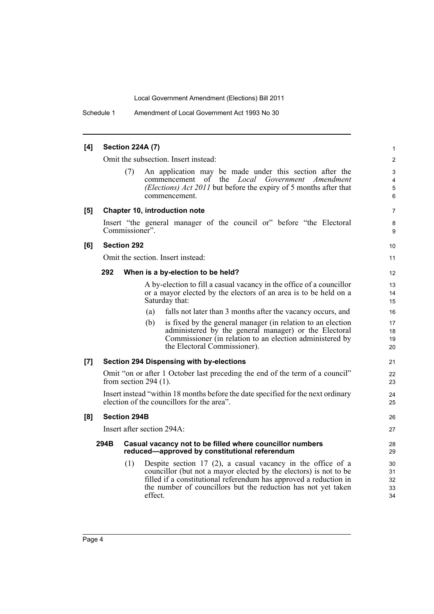Schedule 1 Amendment of Local Government Act 1993 No 30

#### **[4] Section 224A (7)** Omit the subsection. Insert instead: (7) An application may be made under this section after the commencement of the *Local Government Amendment (Elections) Act 2011* but before the expiry of 5 months after that commencement. **[5] Chapter 10, introduction note** Insert "the general manager of the council or" before "the Electoral Commissioner". **[6] Section 292** Omit the section. Insert instead: **292 When is a by-election to be held?** A by-election to fill a casual vacancy in the office of a councillor or a mayor elected by the electors of an area is to be held on a Saturday that: (a) falls not later than 3 months after the vacancy occurs, and (b) is fixed by the general manager (in relation to an election administered by the general manager) or the Electoral Commissioner (in relation to an election administered by the Electoral Commissioner). **[7] Section 294 Dispensing with by-elections** Omit "on or after 1 October last preceding the end of the term of a council" from section 294 (1). Insert instead "within 18 months before the date specified for the next ordinary election of the councillors for the area". **[8] Section 294B** Insert after section 294A: **294B Casual vacancy not to be filled where councillor numbers reduced—approved by constitutional referendum** (1) Despite section 17 (2), a casual vacancy in the office of a councillor (but not a mayor elected by the electors) is not to be filled if a constitutional referendum has approved a reduction in the number of councillors but the reduction has not yet taken effect. 1 2 3 4 5 6 7 8 9 10 11 12 13 14 15 16 17 18 19 20 21  $22$ 23  $24$ 25 26 27 28 29  $30$ 31 32 33 34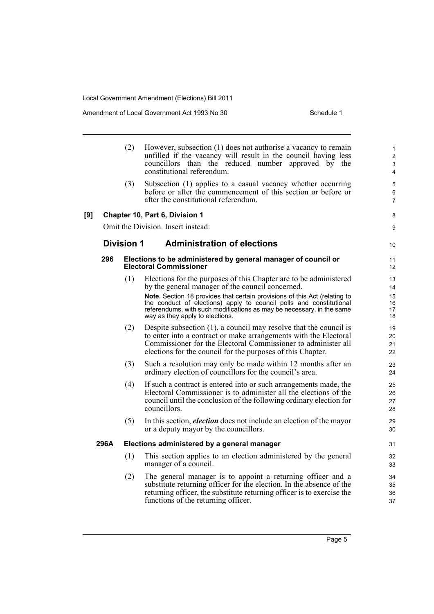Amendment of Local Government Act 1993 No 30 Schedule 1

|      | (2)               | However, subsection (1) does not authorise a vacancy to remain<br>unfilled if the vacancy will result in the council having less<br>councillors than the reduced number approved by the<br>constitutional referendum.                                                    | 1<br>$\overline{2}$<br>3<br>4 |
|------|-------------------|--------------------------------------------------------------------------------------------------------------------------------------------------------------------------------------------------------------------------------------------------------------------------|-------------------------------|
|      | (3)               | Subsection (1) applies to a casual vacancy whether occurring<br>before or after the commencement of this section or before or<br>after the constitutional referendum.                                                                                                    | 5<br>6<br>$\overline{7}$      |
| [9]  |                   | Chapter 10, Part 6, Division 1                                                                                                                                                                                                                                           | 8                             |
|      |                   | Omit the Division. Insert instead:                                                                                                                                                                                                                                       | 9                             |
|      | <b>Division 1</b> | <b>Administration of elections</b>                                                                                                                                                                                                                                       | 10 <sup>°</sup>               |
| 296  |                   | Elections to be administered by general manager of council or<br><b>Electoral Commissioner</b>                                                                                                                                                                           | 11<br>12 <sup>1</sup>         |
|      | (1)               | Elections for the purposes of this Chapter are to be administered<br>by the general manager of the council concerned.                                                                                                                                                    | 13<br>14                      |
|      |                   | Note. Section 18 provides that certain provisions of this Act (relating to<br>the conduct of elections) apply to council polls and constitutional<br>referendums, with such modifications as may be necessary, in the same<br>way as they apply to elections.            | 15<br>16<br>17<br>18          |
|      | (2)               | Despite subsection $(1)$ , a council may resolve that the council is<br>to enter into a contract or make arrangements with the Electoral<br>Commissioner for the Electoral Commissioner to administer all<br>elections for the council for the purposes of this Chapter. | 19<br>20<br>21<br>22          |
|      | (3)               | Such a resolution may only be made within 12 months after an<br>ordinary election of councillors for the council's area.                                                                                                                                                 | 23<br>24                      |
|      | (4)               | If such a contract is entered into or such arrangements made, the<br>Electoral Commissioner is to administer all the elections of the<br>council until the conclusion of the following ordinary election for<br>councillors.                                             | 25<br>26<br>27<br>28          |
|      | (5)               | In this section, <i>election</i> does not include an election of the mayor<br>or a deputy mayor by the councillors.                                                                                                                                                      | 29<br>30                      |
| 296A |                   | Elections administered by a general manager                                                                                                                                                                                                                              | 31                            |
|      | (1)               | This section applies to an election administered by the general<br>manager of a council.                                                                                                                                                                                 | 32<br>33                      |
|      | (2)               | The general manager is to appoint a returning officer and a<br>substitute returning officer for the election. In the absence of the<br>returning officer, the substitute returning officer is to exercise the<br>functions of the returning officer.                     | 34<br>35<br>36<br>37          |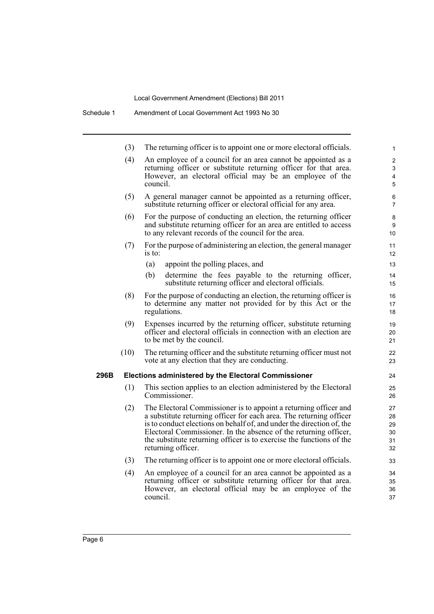Schedule 1 Amendment of Local Government Act 1993 No 30

|      | (3)                                                                                                                                                                                                    | The returning officer is to appoint one or more electoral officials.                                                                                                                                                                                                                                                                                                               | $\mathbf{1}$                     |
|------|--------------------------------------------------------------------------------------------------------------------------------------------------------------------------------------------------------|------------------------------------------------------------------------------------------------------------------------------------------------------------------------------------------------------------------------------------------------------------------------------------------------------------------------------------------------------------------------------------|----------------------------------|
|      | (4)                                                                                                                                                                                                    | An employee of a council for an area cannot be appointed as a<br>returning officer or substitute returning officer for that area.<br>However, an electoral official may be an employee of the<br>council.                                                                                                                                                                          | $\overline{2}$<br>3<br>4<br>5    |
|      | (5)                                                                                                                                                                                                    | A general manager cannot be appointed as a returning officer,<br>substitute returning officer or electoral official for any area.                                                                                                                                                                                                                                                  | 6<br>$\overline{7}$              |
|      | (6)<br>For the purpose of conducting an election, the returning officer<br>and substitute returning officer for an area are entitled to access<br>to any relevant records of the council for the area. |                                                                                                                                                                                                                                                                                                                                                                                    | 8<br>9<br>10                     |
|      | (7)                                                                                                                                                                                                    | For the purpose of administering an election, the general manager<br>is to:                                                                                                                                                                                                                                                                                                        | 11<br>12                         |
|      |                                                                                                                                                                                                        | (a)<br>appoint the polling places, and                                                                                                                                                                                                                                                                                                                                             | 13                               |
|      |                                                                                                                                                                                                        | determine the fees payable to the returning officer,<br>(b)<br>substitute returning officer and electoral officials.                                                                                                                                                                                                                                                               | 14<br>15                         |
|      | (8)                                                                                                                                                                                                    | For the purpose of conducting an election, the returning officer is<br>to determine any matter not provided for by this Act or the<br>regulations.                                                                                                                                                                                                                                 | 16<br>17<br>18                   |
|      | (9)                                                                                                                                                                                                    | Expenses incurred by the returning officer, substitute returning<br>officer and electoral officials in connection with an election are<br>to be met by the council.                                                                                                                                                                                                                | 19<br>20<br>21                   |
|      | (10)                                                                                                                                                                                                   | The returning officer and the substitute returning officer must not<br>vote at any election that they are conducting.                                                                                                                                                                                                                                                              | 22<br>23                         |
| 296B |                                                                                                                                                                                                        | Elections administered by the Electoral Commissioner                                                                                                                                                                                                                                                                                                                               | 24                               |
|      | (1)                                                                                                                                                                                                    | This section applies to an election administered by the Electoral<br>Commissioner.                                                                                                                                                                                                                                                                                                 | 25<br>26                         |
|      | (2)                                                                                                                                                                                                    | The Electoral Commissioner is to appoint a returning officer and<br>a substitute returning officer for each area. The returning officer<br>is to conduct elections on behalf of, and under the direction of, the<br>Electoral Commissioner. In the absence of the returning officer,<br>the substitute returning officer is to exercise the functions of the<br>returning officer. | 27<br>28<br>29<br>30<br>31<br>32 |
|      | (3)                                                                                                                                                                                                    | The returning officer is to appoint one or more electoral officials.                                                                                                                                                                                                                                                                                                               | 33                               |
|      | (4)                                                                                                                                                                                                    | An employee of a council for an area cannot be appointed as a<br>returning officer or substitute returning officer for that area.<br>However, an electoral official may be an employee of the                                                                                                                                                                                      | 34<br>35<br>36                   |

37

council.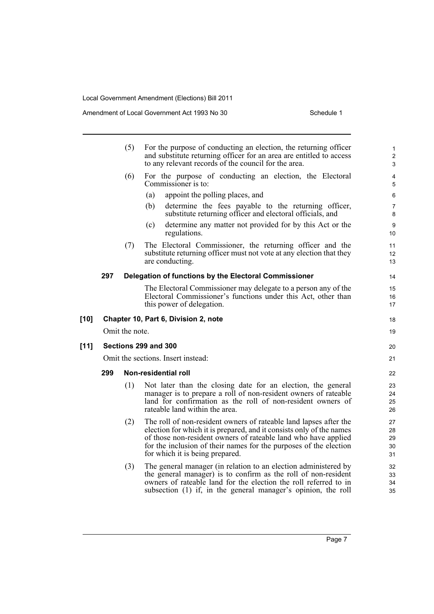|        |                                    | (5)            | For the purpose of conducting an election, the returning officer<br>and substitute returning officer for an area are entitled to access<br>to any relevant records of the council for the area.                                                                                                                     | $\mathbf{1}$<br>2<br>$\mathfrak{S}$ |
|--------|------------------------------------|----------------|---------------------------------------------------------------------------------------------------------------------------------------------------------------------------------------------------------------------------------------------------------------------------------------------------------------------|-------------------------------------|
|        |                                    | (6)            | For the purpose of conducting an election, the Electoral<br>Commissioner is to:                                                                                                                                                                                                                                     | 4<br>5                              |
|        |                                    |                | appoint the polling places, and<br>(a)                                                                                                                                                                                                                                                                              | 6                                   |
|        |                                    |                | determine the fees payable to the returning officer,<br>(b)<br>substitute returning officer and electoral officials, and                                                                                                                                                                                            | $\overline{7}$<br>8                 |
|        |                                    |                | determine any matter not provided for by this Act or the<br>(c)<br>regulations.                                                                                                                                                                                                                                     | $\boldsymbol{9}$<br>10              |
|        |                                    | (7)            | The Electoral Commissioner, the returning officer and the<br>substitute returning officer must not vote at any election that they<br>are conducting.                                                                                                                                                                | 11<br>12<br>13                      |
|        | 297                                |                | Delegation of functions by the Electoral Commissioner                                                                                                                                                                                                                                                               | 14                                  |
|        |                                    |                | The Electoral Commissioner may delegate to a person any of the                                                                                                                                                                                                                                                      | 15                                  |
|        |                                    |                | Electoral Commissioner's functions under this Act, other than<br>this power of delegation.                                                                                                                                                                                                                          | 16<br>17                            |
| $[10]$ |                                    |                | Chapter 10, Part 6, Division 2, note                                                                                                                                                                                                                                                                                | 18                                  |
|        |                                    | Omit the note. |                                                                                                                                                                                                                                                                                                                     | 19                                  |
| [11]   | Sections 299 and 300               |                |                                                                                                                                                                                                                                                                                                                     | 20                                  |
|        | Omit the sections. Insert instead: |                |                                                                                                                                                                                                                                                                                                                     |                                     |
|        | 299                                |                | Non-residential roll                                                                                                                                                                                                                                                                                                | 22                                  |
|        |                                    | (1)            | Not later than the closing date for an election, the general<br>manager is to prepare a roll of non-resident owners of rateable<br>land for confirmation as the roll of non-resident owners of<br>rateable land within the area.                                                                                    | 23<br>24<br>25<br>26                |
|        |                                    | (2)            | The roll of non-resident owners of rateable land lapses after the<br>election for which it is prepared, and it consists only of the names<br>of those non-resident owners of rateable land who have applied<br>for the inclusion of their names for the purposes of the election<br>for which it is being prepared. | 27<br>28<br>29<br>30<br>31          |
|        |                                    | (3)            | The general manager (in relation to an election administered by<br>the general manager) is to confirm as the roll of non-resident<br>owners of rateable land for the election the roll referred to in<br>subsection (1) if, in the general manager's opinion, the roll                                              | 32<br>33<br>34<br>35                |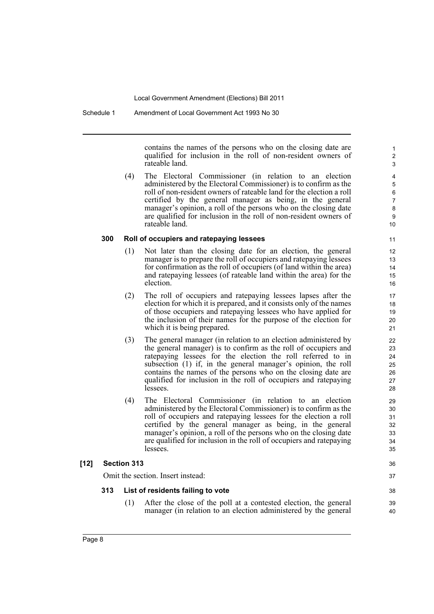Schedule 1 Amendment of Local Government Act 1993 No 30

contains the names of the persons who on the closing date are qualified for inclusion in the roll of non-resident owners of rateable land.

36 37

38 39 40

(4) The Electoral Commissioner (in relation to an election administered by the Electoral Commissioner) is to confirm as the roll of non-resident owners of rateable land for the election a roll certified by the general manager as being, in the general manager's opinion, a roll of the persons who on the closing date are qualified for inclusion in the roll of non-resident owners of rateable land.

### **300 Roll of occupiers and ratepaying lessees**

- (1) Not later than the closing date for an election, the general manager is to prepare the roll of occupiers and ratepaying lessees for confirmation as the roll of occupiers (of land within the area) and ratepaying lessees (of rateable land within the area) for the election.
- (2) The roll of occupiers and ratepaying lessees lapses after the election for which it is prepared, and it consists only of the names of those occupiers and ratepaying lessees who have applied for the inclusion of their names for the purpose of the election for which it is being prepared.
- (3) The general manager (in relation to an election administered by the general manager) is to confirm as the roll of occupiers and ratepaying lessees for the election the roll referred to in subsection (1) if, in the general manager's opinion, the roll contains the names of the persons who on the closing date are qualified for inclusion in the roll of occupiers and ratepaying lessees.
- (4) The Electoral Commissioner (in relation to an election administered by the Electoral Commissioner) is to confirm as the roll of occupiers and ratepaying lessees for the election a roll certified by the general manager as being, in the general manager's opinion, a roll of the persons who on the closing date are qualified for inclusion in the roll of occupiers and ratepaying lessees.

### **[12] Section 313**

Omit the section. Insert instead:

### **313 List of residents failing to vote**

(1) After the close of the poll at a contested election, the general manager (in relation to an election administered by the general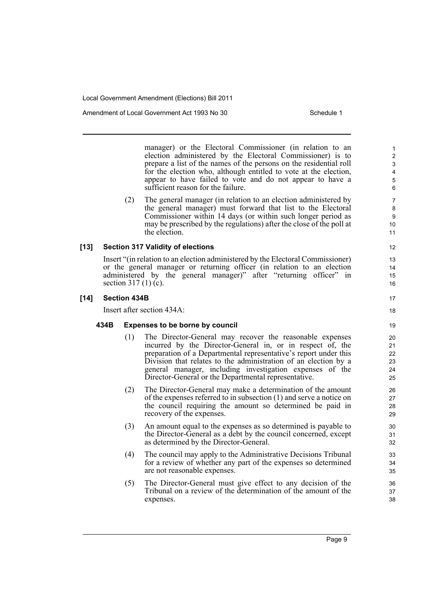Amendment of Local Government Act 1993 No 30 Schedule 1

manager) or the Electoral Commissioner (in relation to an election administered by the Electoral Commissioner) is to prepare a list of the names of the persons on the residential roll for the election who, although entitled to vote at the election, appear to have failed to vote and do not appear to have a sufficient reason for the failure.

(2) The general manager (in relation to an election administered by the general manager) must forward that list to the Electoral Commissioner within 14 days (or within such longer period as may be prescribed by the regulations) after the close of the poll at the election.

#### **[13] Section 317 Validity of elections**

Insert "(in relation to an election administered by the Electoral Commissioner) or the general manager or returning officer (in relation to an election administered by the general manager)" after "returning officer" in section  $317(1)(c)$ .

#### **[14] Section 434B**

Insert after section 434A:

#### **434B Expenses to be borne by council**

- (1) The Director-General may recover the reasonable expenses incurred by the Director-General in, or in respect of, the preparation of a Departmental representative's report under this Division that relates to the administration of an election by a general manager, including investigation expenses of the Director-General or the Departmental representative.
- (2) The Director-General may make a determination of the amount of the expenses referred to in subsection (1) and serve a notice on the council requiring the amount so determined be paid in recovery of the expenses.
- (3) An amount equal to the expenses as so determined is payable to the Director-General as a debt by the council concerned, except as determined by the Director-General.
- (4) The council may apply to the Administrative Decisions Tribunal for a review of whether any part of the expenses so determined are not reasonable expenses.
- (5) The Director-General must give effect to any decision of the Tribunal on a review of the determination of the amount of the expenses.

11 12

> 13 14

18

20 21 22

- 15 16
- 17
- 
- 
- 
- -
- 19
- - 23 24 25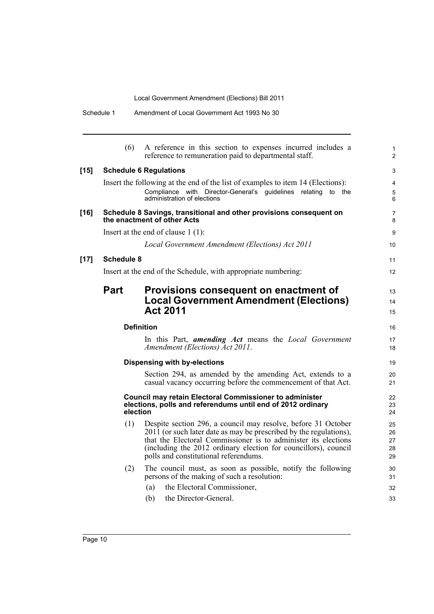|        | Schedule 1        | Amendment of Local Government Act 1993 No 30                                                                                                                                                                                                                                                                      |  |
|--------|-------------------|-------------------------------------------------------------------------------------------------------------------------------------------------------------------------------------------------------------------------------------------------------------------------------------------------------------------|--|
|        | (6)               | A reference in this section to expenses incurred includes a<br>reference to remuneration paid to departmental staff.                                                                                                                                                                                              |  |
| $[15]$ |                   | <b>Schedule 6 Regulations</b>                                                                                                                                                                                                                                                                                     |  |
|        |                   | Insert the following at the end of the list of examples to item 14 (Elections):<br>Compliance with Director-General's guidelines relating to the<br>administration of elections                                                                                                                                   |  |
| $[16]$ |                   | Schedule 8 Savings, transitional and other provisions consequent on<br>the enactment of other Acts                                                                                                                                                                                                                |  |
|        |                   | Insert at the end of clause $1(1)$ :                                                                                                                                                                                                                                                                              |  |
|        |                   | Local Government Amendment (Elections) Act 2011                                                                                                                                                                                                                                                                   |  |
| $[17]$ | <b>Schedule 8</b> |                                                                                                                                                                                                                                                                                                                   |  |
|        |                   | Insert at the end of the Schedule, with appropriate numbering:                                                                                                                                                                                                                                                    |  |
|        | <b>Part</b>       | Provisions consequent on enactment of<br><b>Local Government Amendment (Elections)</b><br><b>Act 2011</b>                                                                                                                                                                                                         |  |
|        |                   | <b>Definition</b>                                                                                                                                                                                                                                                                                                 |  |
|        |                   | In this Part, <i>amending Act</i> means the <i>Local Government</i><br>Amendment (Elections) Act 2011.                                                                                                                                                                                                            |  |
|        |                   | <b>Dispensing with by-elections</b>                                                                                                                                                                                                                                                                               |  |
|        |                   | Section 294, as amended by the amending Act, extends to a<br>casual vacancy occurring before the commencement of that Act.                                                                                                                                                                                        |  |
|        | election          | <b>Council may retain Electoral Commissioner to administer</b><br>elections, polls and referendums until end of 2012 ordinary                                                                                                                                                                                     |  |
|        | (1)               | Despite section 296, a council may resolve, before 31 October<br>2011 (or such later date as may be prescribed by the regulations),<br>that the Electoral Commissioner is to administer its elections<br>(including the 2012 ordinary election for councillors), council<br>polls and constitutional referendums. |  |
|        | (2)               | The council must, as soon as possible, notify the following<br>persons of the making of such a resolution:                                                                                                                                                                                                        |  |
|        |                   | the Electoral Commissioner,<br>(a)                                                                                                                                                                                                                                                                                |  |
|        |                   | the Director-General.<br>(b)                                                                                                                                                                                                                                                                                      |  |